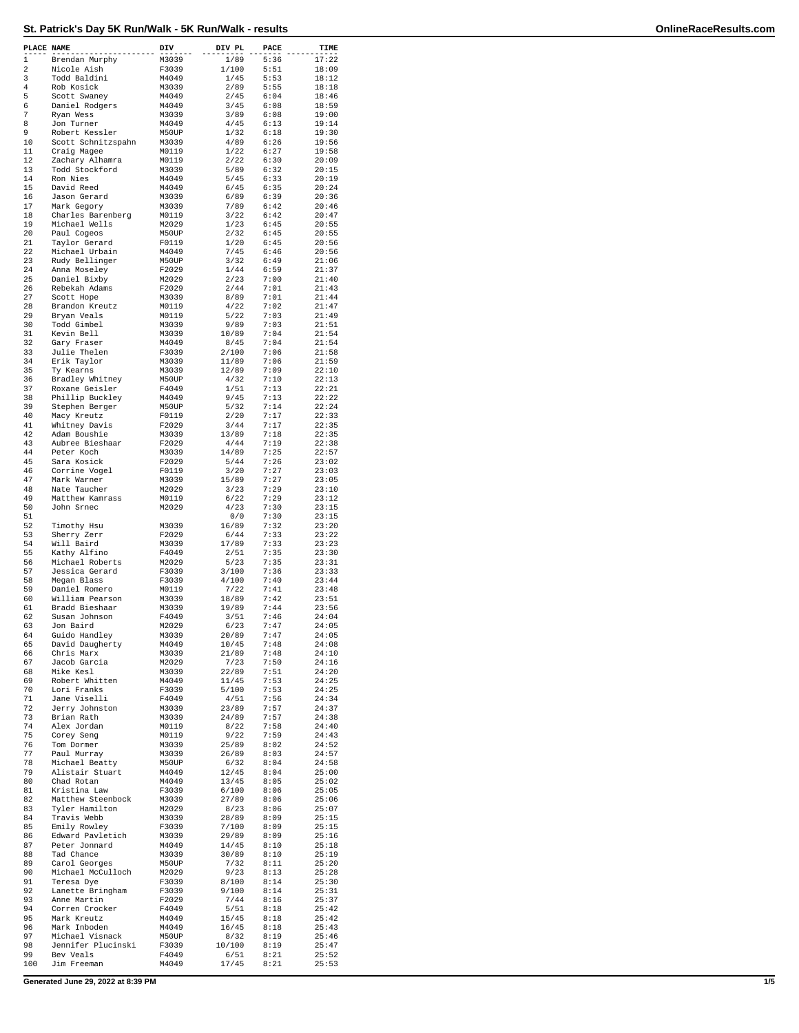| PLACE NAME   |                                     | DIV            | DIV PL         | PACE         | TIME           |
|--------------|-------------------------------------|----------------|----------------|--------------|----------------|
| $\mathbf{1}$ | Brendan Murphy                      | M3039          | 1/89           | 5:36         | 17:22          |
| 2<br>3       | Nicole Aish<br>Todd Baldini         | F3039<br>M4049 | 1/100<br>1/45  | 5:51<br>5:53 | 18:09<br>18:12 |
| 4            | Rob Kosick                          | M3039          | 2/89           | 5:55         | 18:18          |
| 5            | Scott Swaney                        | M4049          | 2/45           | 6:04         | 18:46          |
| 6<br>7       | Daniel Rodgers<br>Ryan Wess         | M4049<br>M3039 | 3/45<br>3/89   | 6:08<br>6:08 | 18:59<br>19:00 |
| 8            | Jon Turner                          | M4049          | 4/45           | 6:13         | 19:14          |
| 9            | Robert Kessler                      | M50UP          | 1/32           | 6:18         | 19:30          |
| 10           | Scott Schnitzspahn                  | M3039          | 4/89           | 6:26         | 19:56          |
| 11<br>12     | Craig Magee<br>Zachary Alhamra      | M0119<br>M0119 | 1/22<br>2/22   | 6:27<br>6:30 | 19:58<br>20:09 |
| 13           | Todd Stockford                      | M3039          | 5/89           | 6:32         | 20:15          |
| 14           | Ron Nies                            | M4049          | 5/45           | 6:33         | 20:19          |
| 15<br>16     | David Reed<br>Jason Gerard          | M4049<br>M3039 | 6/45<br>6/89   | 6:35<br>6:39 | 20:24<br>20:36 |
| 17           | Mark Gegory                         | M3039          | 7/89           | 6:42         | 20:46          |
| 18           | Charles Barenberg                   | M0119          | 3/22           | 6:42         | 20:47          |
| 19           | Michael Wells                       | M2029          | 1/23           | 6:45         | 20:55          |
| 20<br>21     | Paul Cogeos<br>Taylor Gerard        | M50UP<br>F0119 | 2/32<br>1/20   | 6:45<br>6:45 | 20:55<br>20:56 |
| 22           | Michael Urbain                      | M4049          | 7/45           | 6:46         | 20:56          |
| 23           | Rudy Bellinger                      | M50UP          | 3/32           | 6:49         | 21:06          |
| 24<br>25     | Anna Moseley<br>Daniel Bixby        | F2029<br>M2029 | 1/44<br>2/23   | 6:59<br>7:00 | 21:37<br>21:40 |
| 26           | Rebekah Adams                       | F2029          | 2/44           | 7:01         | 21:43          |
| 27           | Scott Hope                          | M3039          | 8/89           | 7:01         | 21:44          |
| 28           | Brandon Kreutz                      | M0119          | 4/22           | 7:02         | 21:47          |
| 29<br>30     | Bryan Veals<br>Todd Gimbel          | M0119<br>M3039 | 5/22<br>9/89   | 7:03<br>7:03 | 21:49<br>21:51 |
| 31           | Kevin Bell                          | M3039          | 10/89          | 7:04         | 21:54          |
| 32           | Gary Fraser                         | M4049          | 8/45           | 7:04         | 21:54          |
| 33<br>34     | Julie Thelen                        | F3039          | 2/100          | 7:06<br>7:06 | 21:58          |
| 35           | Erik Taylor<br>Ty Kearns            | M3039<br>M3039 | 11/89<br>12/89 | 7:09         | 21:59<br>22:10 |
| 36           | Bradley Whitney                     | M50UP          | 4/32           | 7:10         | 22:13          |
| 37           | Roxane Geisler                      | F4049          | 1/51           | 7:13         | 22:21          |
| 38<br>39     | Phillip Buckley<br>Stephen Berger   | M4049<br>M50UP | 9/45<br>5/32   | 7:13<br>7:14 | 22:22<br>22:24 |
| 40           | Macy Kreutz                         | F0119          | 2/20           | 7:17         | 22:33          |
| 41           | Whitney Davis                       | F2029          | 3/44           | 7:17         | 22:35          |
| 42<br>43     | Adam Boushie                        | M3039<br>F2029 | 13/89          | 7:18         | 22:35          |
| 44           | Aubree Bieshaar<br>Peter Koch       | M3039          | 4/44<br>14/89  | 7:19<br>7:25 | 22:38<br>22:57 |
| 45           | Sara Kosick                         | F2029          | 5/44           | 7:26         | 23:02          |
| 46           | Corrine Vogel                       | F0119          | 3/20           | 7:27         | 23:03          |
| 47<br>48     | Mark Warner<br>Nate Taucher         | M3039<br>M2029 | 15/89<br>3/23  | 7:27<br>7:29 | 23:05<br>23:10 |
| 49           | Matthew Kamrass                     | M0119          | 6/22           | 7:29         | 23:12          |
| 50           | John Srnec                          | M2029          | 4/23           | 7:30         | 23:15          |
| 51<br>52     |                                     |                | 0/0            | 7:30         | 23:15          |
| 53           | Timothy Hsu<br>Sherry Zerr          | M3039<br>F2029 | 16/89<br>6/44  | 7:32<br>7:33 | 23:20<br>23:22 |
| 54           | Will Baird                          | M3039          | 17/89          | 7:33         | 23:23          |
| 55           | Kathy Alfino                        | F4049          | 2/51           | 7:35         | 23:30          |
| 56<br>57     | Michael Roberts<br>Jessica Gerard   | M2029<br>F3039 | 5/23<br>3/100  | 7:35<br>7:36 | 23:31<br>23:33 |
| 58           | Megan Blass                         | F3039          | 4/100          | 7:40         | 23:44          |
| 59           | Daniel Romero                       | M0119          | 7/22           | 7:41         | 23:48          |
| 60<br>61     | William Pearson<br>Bradd Bieshaar   | M3039<br>M3039 | 18/89<br>19/89 | 7:42<br>7:44 | 23:51<br>23:56 |
| 62           | Susan Johnson                       | F4049          | 3/51           | 7:46         | 24:04          |
| 63           | Jon Baird                           | M2029          | 6/23           | 7:47         | 24:05          |
| 64           | Guido Handley                       | M3039          | 20/89          | 7:47         | 24:05<br>24:08 |
| 65<br>66     | David Daugherty<br>Chris Marx       | M4049<br>M3039 | 10/45<br>21/89 | 7:48<br>7:48 | 24:10          |
| 67           | Jacob Garcia                        | M2029          | 7/23           | 7:50         | 24:16          |
| 68           | Mike Kesl                           | M3039          | 22/89          | 7:51         | 24:20          |
| 69<br>70     | Robert Whitten<br>Lori Franks       | M4049<br>F3039 | 11/45<br>5/100 | 7:53<br>7:53 | 24:25<br>24:25 |
| 71           | Jane Viselli                        | F4049          | 4/51           | 7:56         | 24:34          |
| 72           | Jerry Johnston                      | M3039          | 23/89          | 7:57         | 24:37          |
| 73<br>74     | Brian Rath<br>Alex Jordan           | M3039<br>M0119 | 24/89<br>8/22  | 7:57<br>7:58 | 24:38<br>24:40 |
| 75           | Corey Seng                          | M0119          | 9/22           | 7:59         | 24:43          |
| 76           | Tom Dormer                          | M3039          | 25/89          | 8:02         | 24:52          |
| 77           | Paul Murray                         | M3039          | 26/89          | 8:03         | 24:57          |
| 78<br>79     | Michael Beatty<br>Alistair Stuart   | M50UP<br>M4049 | 6/32<br>12/45  | 8:04<br>8:04 | 24:58<br>25:00 |
| 80           | Chad Rotan                          | M4049          | 13/45          | 8:05         | 25:02          |
| 81           | Kristina Law                        | F3039          | 6/100          | 8:06         | 25:05          |
| 82<br>83     | Matthew Steenbock<br>Tyler Hamilton | M3039<br>M2029 | 27/89<br>8/23  | 8:06<br>8:06 | 25:06<br>25:07 |
| 84           | Travis Webb                         | M3039          | 28/89          | 8:09         | 25:15          |
| 85           | Emily Rowley                        | F3039          | 7/100          | 8:09         | 25:15          |
| 86           | Edward Pavletich                    | M3039          | 29/89          | 8:09         | 25:16          |
| 87<br>88     | Peter Jonnard<br>Tad Chance         | M4049<br>M3039 | 14/45<br>30/89 | 8:10<br>8:10 | 25:18<br>25:19 |
| 89           | Carol Georges                       | M50UP          | 7/32           | 8:11         | 25:20          |
| 90           | Michael McCulloch                   | M2029          | 9/23           | 8:13         | 25:28          |
| 91<br>92     | Teresa Dye                          | F3039<br>F3039 | 8/100<br>9/100 | 8:14<br>8:14 | 25:30<br>25:31 |
| 93           | Lanette Bringham<br>Anne Martin     | F2029          | 7/44           | 8:16         | 25:37          |
| 94           | Corren Crocker                      | F4049          | 5/51           | 8:18         | 25:42          |
| 95           | Mark Kreutz                         | M4049          | 15/45          | 8:18         | 25:42          |
| 96<br>97     | Mark Inboden<br>Michael Visnack     | M4049<br>M50UP | 16/45<br>8/32  | 8:18<br>8:19 | 25:43<br>25:46 |
| 98           | Jennifer Plucinski                  | F3039          | 10/100         | 8:19         | 25:47          |
| 99           | Bev Veals                           | F4049          | 6/51           | 8:21         | 25:52          |
| 100          | Jim Freeman                         | M4049          | 17/45          | 8:21         | 25:53          |

**Generated June 29, 2022 at 8:39 PM 1/5**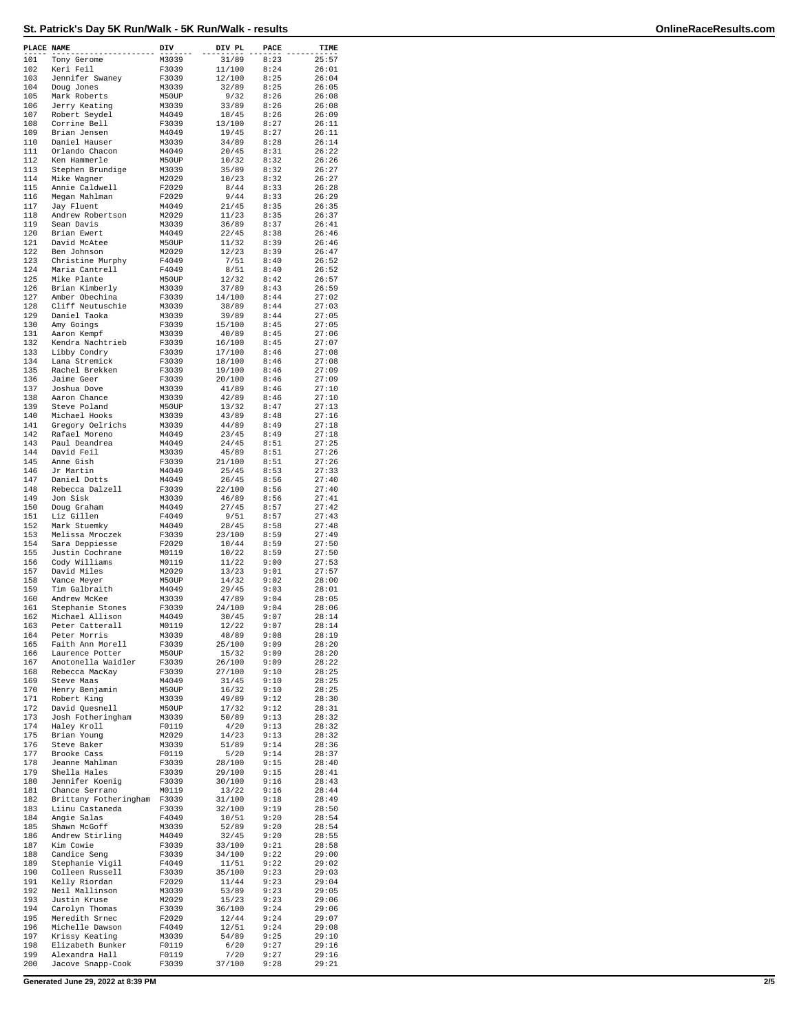## **St. Patrick's Day 5K Run/Walk - 5K Run/Walk - results OnlineRaceResults.com**

| PLACE NAME |                                       | DIV            | DIV PL           | PACE         | TIME           |
|------------|---------------------------------------|----------------|------------------|--------------|----------------|
| 101        | Tony Gerome                           | M3039          | 31/89            | 8:23         | 25:57          |
| 102        | Keri Feil                             | F3039          | 11/100           | 8:24         | 26:01          |
| 103<br>104 | Jennifer Swaney<br>Doug Jones         | F3039<br>M3039 | 12/100<br>32/89  | 8:25<br>8:25 | 26:04<br>26:05 |
| 105        | Mark Roberts                          | M50UP          | 9/32             | 8:26         | 26:08          |
| 106        | Jerry Keating                         | M3039          | 33/89            | 8:26         | 26:08          |
| 107        | Robert Seydel                         | M4049          | 18/45            | 8:26         | 26:09          |
| 108        | Corrine Bell                          | F3039          | 13/100           | 8:27         | 26:11          |
| 109<br>110 | Brian Jensen                          | M4049          | 19/45            | 8:27         | 26:11          |
| 111        | Daniel Hauser<br>Orlando Chacon       | M3039<br>M4049 | 34/89<br>20/45   | 8:28<br>8:31 | 26:14<br>26:22 |
| 112        | Ken Hammerle                          | M50UP          | 10/32            | 8:32         | 26:26          |
| 113        | Stephen Brundige                      | M3039          | 35/89            | 8:32         | 26:27          |
| 114        | Mike Wagner                           | M2029          | 10/23            | 8:32         | 26:27          |
| 115        | Annie Caldwell                        | F2029          | 8/44             | 8:33         | 26:28          |
| 116        | Megan Mahlman                         | F2029          | 9/44             | 8:33         | 26:29          |
| 117<br>118 | Jay Fluent<br>Andrew Robertson        | M4049<br>M2029 | 21/45<br>11/23   | 8:35<br>8:35 | 26:35<br>26:37 |
| 119        | Sean Davis                            | M3039          | 36/89            | 8:37         | 26:41          |
| 120        | Brian Ewert                           | M4049          | 22/45            | 8:38         | 26:46          |
| 121        | David McAtee                          | M50UP          | 11/32            | 8:39         | 26:46          |
| 122        | Ben Johnson                           | M2029          | 12/23            | 8:39         | 26:47          |
| 123<br>124 | Christine Murphy<br>Maria Cantrell    | F4049<br>F4049 | 7/51<br>8/51     | 8:40<br>8:40 | 26:52<br>26:52 |
| 125        | Mike Plante                           | M50UP          | 12/32            | 8:42         | 26:57          |
| 126        | Brian Kimberly                        | M3039          | 37/89            | 8:43         | 26:59          |
| 127        | Amber Obechina                        | F3039          | 14/100           | 8:44         | 27:02          |
| 128        | Cliff Neutuschie                      | M3039          | 38/89            | 8:44         | 27:03          |
| 129<br>130 | Daniel Taoka<br>Amy Goings            | M3039<br>F3039 | 39/89<br>15/100  | 8:44<br>8:45 | 27:05<br>27:05 |
| 131        | Aaron Kempf                           | M3039          | 40/89            | 8:45         | 27:06          |
| 132        | Kendra Nachtrieb                      | F3039          | 16/100           | 8:45         | 27:07          |
| 133        | Libby Condry                          | F3039          | 17/100           | 8:46         | 27:08          |
| 134        | Lana Stremick                         | F3039          | 18/100           | 8:46         | 27:08          |
| 135        | Rachel Brekken                        | F3039          | 19/100           | 8:46         | 27:09          |
| 136<br>137 | Jaime Geer<br>Joshua Dove             | F3039<br>M3039 | 20/100<br>41/89  | 8:46<br>8:46 | 27:09<br>27:10 |
| 138        | Aaron Chance                          | M3039          | 42/89            | 8:46         | 27:10          |
| 139        | Steve Poland                          | M50UP          | 13/32            | 8:47         | 27:13          |
| 140        | Michael Hooks                         | M3039          | 43/89            | 8:48         | 27:16          |
| 141        | Gregory Oelrichs                      | M3039          | 44/89            | 8:49         | 27:18          |
| 142<br>143 | Rafael Moreno<br>Paul Deandrea        | M4049<br>M4049 | 23/45<br>24/45   | 8:49<br>8:51 | 27:18<br>27:25 |
| 144        | David Feil                            | M3039          | 45/89            | 8:51         | 27:26          |
| 145        | Anne Gish                             | F3039          | 21/100           | 8:51         | 27:26          |
| 146        | Jr Martin                             | M4049          | 25/45            | 8:53         | 27:33          |
| 147        | Daniel Dotts                          | M4049          | 26/45            | 8:56         | 27:40          |
| 148<br>149 | Rebecca Dalzell<br>Jon Sisk           | F3039<br>M3039 | 22/100<br>46/89  | 8:56<br>8:56 | 27:40<br>27:41 |
| 150        | Doug Graham                           | M4049          | 27/45            | 8:57         | 27:42          |
| 151        | Liz Gillen                            | F4049          | 9/51             | 8:57         | 27:43          |
| 152        | Mark Stuemky                          | M4049          | 28/45            | 8:58         | 27:48          |
| 153        | Melissa Mroczek                       | F3039          | 23/100           | 8:59         | 27:49          |
| 154<br>155 | Sara Deppiesse<br>Justin Cochrane     | F2029<br>M0119 | 10/44<br>10/22   | 8:59<br>8:59 | 27:50<br>27:50 |
| 156        | Cody Williams                         | M0119          | 11/22            | 9:00         | 27:53          |
| 157        | David Miles                           | M2029          | 13/23            | 9:01         | 27:57          |
| 158        | Vance Meyer                           | M50UP          | 14/32            | 9:02         | 28:00          |
| 159        | Tim Galbraith                         | M4049          | 29/45            | 9:03         | 28:01          |
| 160<br>161 | Andrew McKee<br>Stephanie Stones      | M3039<br>F3039 | 47/89<br>24/100  | 9:04<br>9:04 | 28:05<br>28:06 |
| 162        | Michael Allison                       | M4049          | 30/45            | 9:07         | 28:14          |
| 163        | Peter Catterall                       | M0119          | 12/22            | 9:07         | 28:14          |
| 164        | Peter Morris                          | M3039          | 48/89            | 9:08         | 28:19          |
| 165        | Faith Ann Morell                      | F3039          | 25/100           | 9:09         | 28:20          |
| 166<br>167 | Laurence Potter<br>Anotonella Waidler | M50UP<br>F3039 | 15/32<br>26/100  | 9:09<br>9:09 | 28:20<br>28:22 |
| 168        | Rebecca MacKay                        | F3039          | 27/100           | 9:10         | 28:25          |
| 169        | Steve Maas                            | M4049          | 31/45            | 9:10         | 28:25          |
| 170        | Henry Benjamin                        | M50UP          | 16/32            | 9:10         | 28:25          |
| 171        | Robert King                           | M3039          | 49/89            | 9:12         | 28:30          |
| 172<br>173 | David Quesnell<br>Josh Fotheringham   | M50UP<br>M3039 | 17/32<br>50/89   | 9:12<br>9:13 | 28:31<br>28:32 |
| 174        | Haley Kroll                           | F0119          | 4/20             | 9:13         | 28:32          |
| 175        | Brian Young                           | M2029          | 14/23            | 9:13         | 28:32          |
| 176        | Steve Baker                           | M3039          | 51/89            | 9:14         | 28:36          |
| 177        | Brooke Cass                           | F0119          | 5/20             | 9:14         | 28:37          |
| 178<br>179 | Jeanne Mahlman<br>Shella Hales        | F3039<br>F3039 | 28/100<br>29/100 | 9:15<br>9:15 | 28:40<br>28:41 |
| 180        | Jennifer Koenig                       | F3039          | 30/100           | 9:16         | 28:43          |
| 181        | Chance Serrano                        | M0119          | 13/22            | 9:16         | 28:44          |
| 182        | Brittany Fotheringham                 | F3039          | 31/100           | 9:18         | 28:49          |
| 183        | Liinu Castaneda                       | F3039          | 32/100           | 9:19         | 28:50          |
| 184        | Angie Salas                           | F4049          | 10/51            | 9:20         | 28:54          |
| 185<br>186 | Shawn McGoff<br>Andrew Stirling       | M3039<br>M4049 | 52/89<br>32/45   | 9:20<br>9:20 | 28:54<br>28:55 |
| 187        | Kim Cowie                             | F3039          | 33/100           | 9:21         | 28:58          |
| 188        | Candice Seng                          | F3039          | 34/100           | 9:22         | 29:00          |
| 189        | Stephanie Vigil                       | F4049          | 11/51            | 9:22         | 29:02          |
| 190<br>191 | Colleen Russell                       | F3039          | 35/100           | 9:23         | 29:03          |
| 192        | Kelly Riordan<br>Neil Mallinson       | F2029<br>M3039 | 11/44<br>53/89   | 9:23<br>9:23 | 29:04<br>29:05 |
| 193        | Justin Kruse                          | M2029          | 15/23            | 9:23         | 29:06          |
| 194        | Carolyn Thomas                        | F3039          | 36/100           | 9:24         | 29:06          |
| 195        | Meredith Srnec                        | F2029          | 12/44            | 9:24         | 29:07          |
| 196        | Michelle Dawson                       | F4049          | 12/51            | 9:24         | 29:08          |
| 197<br>198 | Krissy Keating<br>Elizabeth Bunker    | M3039<br>F0119 | 54/89<br>6/20    | 9:25<br>9:27 | 29:10<br>29:16 |
| 199        | Alexandra Hall                        | F0119          | 7/20             | 9:27         | 29:16          |
| 200        | Jacove Snapp-Cook                     | F3039          | 37/100           | 9:28         | 29:21          |

**Generated June 29, 2022 at 8:39 PM 2/5**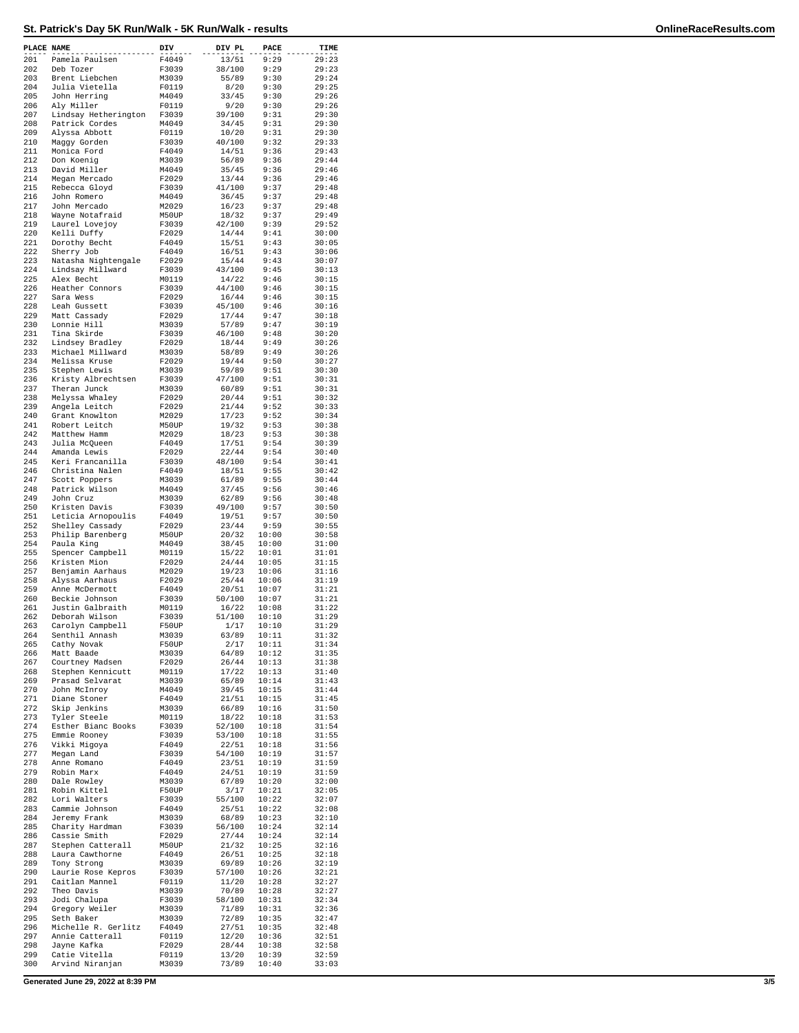| PLACE NAME |                                        | DIV            | DIV PL          | PACE           | TIME           |
|------------|----------------------------------------|----------------|-----------------|----------------|----------------|
| 201        | Pamela Paulsen                         | F4049          | 13/51           | 9:29           | 29:23          |
| 202        | Deb Tozer                              | F3039          | 38/100          | 9:29           | 29:23          |
| 203<br>204 | Brent Liebchen<br>Julia Vietella       | M3039<br>F0119 | 55/89<br>8/20   | 9:30<br>9:30   | 29:24<br>29:25 |
| 205        | John Herring                           | M4049          | 33/45           | 9:30           | 29:26          |
| 206        | Aly Miller                             | F0119          | 9/20            | 9:30           | 29:26          |
| 207<br>208 | Lindsay Hetherington<br>Patrick Cordes | F3039          | 39/100          | 9:31<br>9:31   | 29:30          |
| 209        | Alyssa Abbott                          | M4049<br>F0119 | 34/45<br>10/20  | 9:31           | 29:30<br>29:30 |
| 210        | Maggy Gorden                           | F3039          | 40/100          | 9:32           | 29:33          |
| 211        | Monica Ford                            | F4049          | 14/51           | 9:36<br>9:36   | 29:43          |
| 212<br>213 | Don Koenig<br>David Miller             | M3039<br>M4049 | 56/89<br>35/45  | 9:36           | 29:44<br>29:46 |
| 214        | Megan Mercado                          | F2029          | 13/44           | 9:36           | 29:46          |
| 215        | Rebecca Gloyd                          | F3039          | 41/100          | 9:37           | 29:48          |
| 216<br>217 | John Romero<br>John Mercado            | M4049<br>M2029 | 36/45<br>16/23  | 9:37<br>9:37   | 29:48<br>29:48 |
| 218        | Wayne Notafraid                        | M50UP          | 18/32           | 9:37           | 29:49          |
| 219        | Laurel Lovejoy                         | F3039          | 42/100          | 9:39           | 29:52          |
| 220<br>221 | Kelli Duffy<br>Dorothy Becht           | F2029<br>F4049 | 14/44<br>15/51  | 9:41<br>9:43   | 30:00<br>30:05 |
| 222        | Sherry Job                             | F4049          | 16/51           | 9:43           | 30:06          |
| 223        | Natasha Nightengale                    | F2029          | 15/44           | 9:43           | 30:07          |
| 224        | Lindsay Millward                       | F3039          | 43/100          | 9:45           | 30:13          |
| 225<br>226 | Alex Becht<br>Heather Connors          | M0119<br>F3039 | 14/22<br>44/100 | 9:46<br>9:46   | 30:15<br>30:15 |
| 227        | Sara Wess                              | F2029          | 16/44           | 9:46           | 30:15          |
| 228        | Leah Gussett                           | F3039          | 45/100          | 9:46           | 30:16          |
| 229<br>230 | Matt Cassady                           | F2029          | 17/44<br>57/89  | 9:47           | 30:18          |
| 231        | Lonnie Hill<br>Tina Skirde             | M3039<br>F3039 | 46/100          | 9:47<br>9:48   | 30:19<br>30:20 |
| 232        | Lindsey Bradley                        | F2029          | 18/44           | 9:49           | 30:26          |
| 233        | Michael Millward                       | M3039          | 58/89           | 9:49           | 30:26          |
| 234<br>235 | Melissa Kruse<br>Stephen Lewis         | F2029          | 19/44<br>59/89  | 9:50<br>9:51   | 30:27<br>30:30 |
| 236        | Kristy Albrechtsen                     | M3039<br>F3039 | 47/100          | 9:51           | 30:31          |
| 237        | Theran Junck                           | M3039          | 60/89           | 9:51           | 30:31          |
| 238        | Melyssa Whaley                         | F2029          | 20/44           | 9:51           | 30:32          |
| 239<br>240 | Angela Leitch<br>Grant Knowlton        | F2029<br>M2029 | 21/44<br>17/23  | 9:52<br>9:52   | 30:33<br>30:34 |
| 241        | Robert Leitch                          | M50UP          | 19/32           | 9:53           | 30:38          |
| 242        | Matthew Hamm                           | M2029          | 18/23           | 9:53           | 30:38          |
| 243        | Julia McQueen                          | F4049          | 17/51           | 9:54           | 30:39          |
| 244<br>245 | Amanda Lewis<br>Keri Francanilla       | F2029<br>F3039 | 22/44<br>48/100 | 9:54<br>9:54   | 30:40<br>30:41 |
| 246        | Christina Nalen                        | F4049          | 18/51           | 9:55           | 30:42          |
| 247        | Scott Poppers                          | M3039          | 61/89           | 9:55           | 30:44          |
| 248        | Patrick Wilson                         | M4049          | 37/45           | 9:56           | 30:46          |
| 249<br>250 | John Cruz<br>Kristen Davis             | M3039<br>F3039 | 62/89<br>49/100 | 9:56<br>9:57   | 30:48<br>30:50 |
| 251        | Leticia Arnopoulis                     | F4049          | 19/51           | 9:57           | 30:50          |
| 252        | Shelley Cassady                        | F2029          | 23/44           | 9:59           | 30:55          |
| 253<br>254 | Philip Barenberg<br>Paula King         | M50UP<br>M4049 | 20/32<br>38/45  | 10:00<br>10:00 | 30:58<br>31:00 |
| 255        | Spencer Campbell                       | M0119          | 15/22           | 10:01          | 31:01          |
| 256        | Kristen Mion                           | F2029          | 24/44           | 10:05          | 31:15          |
| 257        | Benjamin Aarhaus                       | M2029          | 19/23           | 10:06          | 31:16          |
| 258<br>259 | Alyssa Aarhaus<br>Anne McDermott       | F2029<br>F4049 | 25/44<br>20/51  | 10:06<br>10:07 | 31:19<br>31:21 |
| 260        | Beckie Johnson                         | F3039          | 50/100          | 10:07          | 31:21          |
| 261        | Justin Galbraith                       | M0119          | 16/22           | 10:08          | 31:22          |
| 262        | Deborah Wilson                         | F3039          | 51/100          | 10:10          | 31:29          |
| 263<br>264 | Carolyn Campbell<br>Senthil Annash     | F50UP<br>M3039 | 1/17<br>63/89   | 10:10<br>10:11 | 31:29<br>31:32 |
| 265        | Cathy Novak                            | F50UP          | 2/17            | 10:11          | 31:34          |
| 266        | Matt Baade                             | M3039          | 64/89           | 10:12          | 31:35          |
| 267<br>268 | Courtney Madsen<br>Stephen Kennicutt   | F2029<br>M0119 | 26/44<br>17/22  | 10:13<br>10:13 | 31:38<br>31:40 |
| 269        | Prasad Selvarat                        | M3039          | 65/89           | 10:14          | 31:43          |
| 270        | John McInroy                           | M4049          | 39/45           | 10:15          | 31:44          |
| 271        | Diane Stoner                           | F4049          | 21/51           | 10:15          | 31:45          |
| 272<br>273 | Skip Jenkins<br>Tyler Steele           | M3039<br>M0119 | 66/89<br>18/22  | 10:16<br>10:18 | 31:50<br>31:53 |
| 274        | Esther Bianc Books                     | F3039          | 52/100          | 10:18          | 31:54          |
| 275        | Emmie Rooney                           | F3039          | 53/100          | 10:18          | 31:55          |
| 276        | Vikki Migoya                           | F4049          | 22/51           | 10:18          | 31:56          |
| 277<br>278 | Megan Land<br>Anne Romano              | F3039<br>F4049 | 54/100<br>23/51 | 10:19<br>10:19 | 31:57<br>31:59 |
| 279        | Robin Marx                             | F4049          | 24/51           | 10:19          | 31:59          |
| 280        | Dale Rowley                            | M3039          | 67/89           | 10:20          | 32:00          |
| 281<br>282 | Robin Kittel                           | F50UP          | 3/17            | 10:21          | 32:05          |
| 283        | Lori Walters<br>Cammie Johnson         | F3039<br>F4049 | 55/100<br>25/51 | 10:22<br>10:22 | 32:07<br>32:08 |
| 284        | Jeremy Frank                           | M3039          | 68/89           | 10:23          | 32:10          |
| 285        | Charity Hardman                        | F3039          | 56/100          | 10:24          | 32:14          |
| 286<br>287 | Cassie Smith<br>Stephen Catterall      | F2029<br>M50UP | 27/44<br>21/32  | 10:24<br>10:25 | 32:14<br>32:16 |
| 288        | Laura Cawthorne                        | F4049          | 26/51           | 10:25          | 32:18          |
| 289        | Tony Strong                            | M3039          | 69/89           | 10:26          | 32:19          |
| 290        | Laurie Rose Kepros                     | F3039          | 57/100          | 10:26          | 32:21          |
| 291<br>292 | Caitlan Mannel<br>Theo Davis           | F0119<br>M3039 | 11/20<br>70/89  | 10:28<br>10:28 | 32:27<br>32:27 |
| 293        | Jodi Chalupa                           | F3039          | 58/100          | 10:31          | 32:34          |
| 294        | Gregory Weiler                         | M3039          | 71/89           | 10:31          | 32:36          |
| 295        | Seth Baker                             | M3039          | 72/89           | 10:35          | 32:47          |
| 296<br>297 | Michelle R. Gerlitz<br>Annie Catterall | F4049<br>F0119 | 27/51<br>12/20  | 10:35<br>10:36 | 32:48<br>32:51 |
| 298        | Jayne Kafka                            | F2029          | 28/44           | 10:38          | 32:58          |
| 299        | Catie Vitella                          | F0119          | 13/20           | 10:39          | 32:59          |
| 300        | Arvind Niranjan                        | M3039          | 73/89           | 10:40          | 33:03          |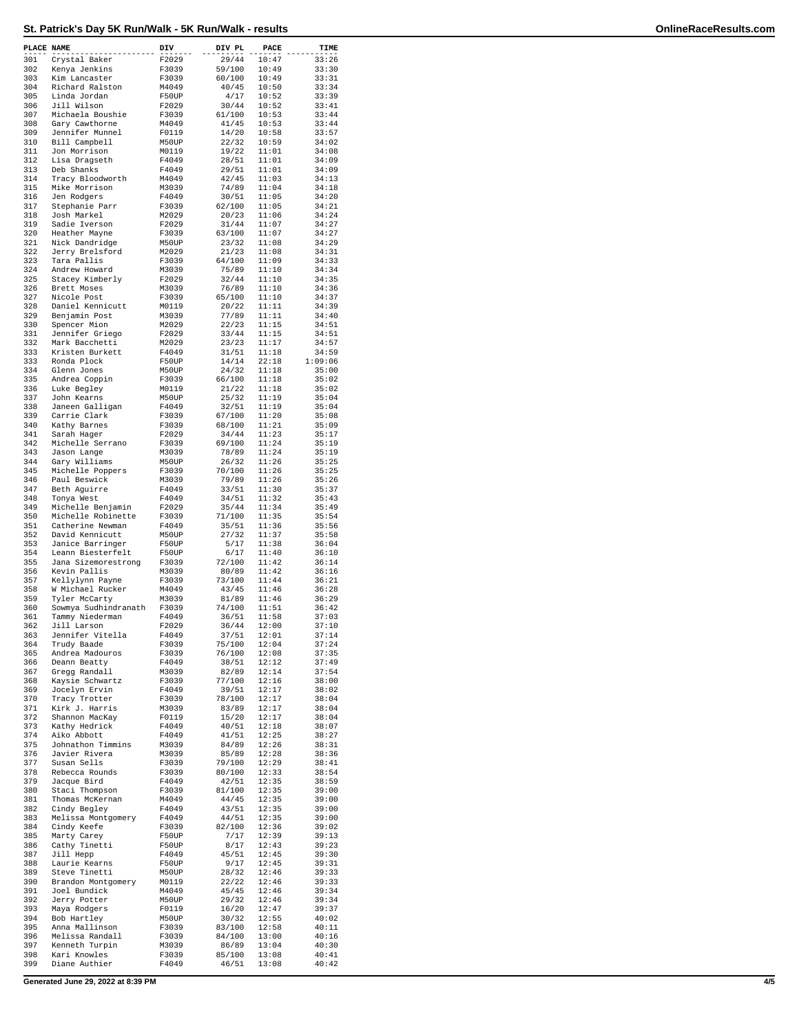| PLACE NAME |                                       | DIV            | DIV PL           | PACE           | TIME           |
|------------|---------------------------------------|----------------|------------------|----------------|----------------|
| 301        | Crystal Baker                         | F2029          | 29/44            | 10:47          | 33:26          |
| 302        | Kenya Jenkins                         | F3039          | 59/100           | 10:49          | 33:30          |
| 303<br>304 | Kim Lancaster<br>Richard Ralston      | F3039<br>M4049 | 60/100<br>40/45  | 10:49<br>10:50 | 33:31<br>33:34 |
| 305        | Linda Jordan                          | F50UP          | 4/17             | 10:52          | 33:39          |
| 306        | Jill Wilson                           | F2029          | 30/44            | 10:52          | 33:41          |
| 307<br>308 | Michaela Boushie                      | F3039<br>M4049 | 61/100           | 10:53<br>10:53 | 33:44<br>33:44 |
| 309        | Gary Cawthorne<br>Jennifer Munnel     | F0119          | 41/45<br>14/20   | 10:58          | 33:57          |
| 310        | Bill Campbell                         | M50UP          | 22/32            | 10:59          | 34:02          |
| 311        | Jon Morrison                          | M0119          | 19/22            | 11:01          | 34:08          |
| 312<br>313 | Lisa Dragseth<br>Deb Shanks           | F4049<br>F4049 | 28/51<br>29/51   | 11:01<br>11:01 | 34:09<br>34:09 |
| 314        | Tracy Bloodworth                      | M4049          | 42/45            | 11:03          | 34:13          |
| 315        | Mike Morrison                         | M3039          | 74/89            | 11:04          | 34:18          |
| 316<br>317 | Jen Rodgers<br>Stephanie Parr         | F4049<br>F3039 | 30/51<br>62/100  | 11:05<br>11:05 | 34:20<br>34:21 |
| 318        | Josh Markel                           | M2029          | 20/23            | 11:06          | 34:24          |
| 319        | Sadie Iverson                         | F2029          | 31/44            | 11:07          | 34:27          |
| 320        | Heather Mayne                         | F3039          | 63/100           | 11:07          | 34:27          |
| 321<br>322 | Nick Dandridge<br>Jerry Brelsford     | M50UP<br>M2029 | 23/32<br>21/23   | 11:08<br>11:08 | 34:29<br>34:31 |
| 323        | Tara Pallis                           | F3039          | 64/100           | 11:09          | 34:33          |
| 324        | Andrew Howard                         | M3039          | 75/89            | 11:10          | 34:34          |
| 325<br>326 | Stacey Kimberly<br>Brett Moses        | F2029          | 32/44<br>76/89   | 11:10<br>11:10 | 34:35          |
| 327        | Nicole Post                           | M3039<br>F3039 | 65/100           | 11:10          | 34:36<br>34:37 |
| 328        | Daniel Kennicutt                      | M0119          | 20/22            | 11:11          | 34:39          |
| 329        | Benjamin Post                         | M3039          | 77/89            | 11:11          | 34:40          |
| 330<br>331 | Spencer Mion<br>Jennifer Griego       | M2029<br>F2029 | 22/23<br>33/44   | 11:15<br>11:15 | 34:51<br>34:51 |
| 332        | Mark Bacchetti                        | M2029          | 23/23            | 11:17          | 34:57          |
| 333        | Kristen Burkett                       | F4049          | 31/51            | 11:18          | 34:59          |
| 333        | Ronda Plock                           | F50UP          | 14/14            | 22:18          | 1:09:06        |
| 334<br>335 | Glenn Jones<br>Andrea Coppin          | M50UP<br>F3039 | 24/32<br>66/100  | 11:18<br>11:18 | 35:00<br>35:02 |
| 336        | Luke Begley                           | M0119          | 21/22            | 11:18          | 35:02          |
| 337        | John Kearns                           | M50UP          | 25/32            | 11:19          | 35:04          |
| 338        | Janeen Galligan                       | F4049          | 32/51            | 11:19          | 35:04          |
| 339<br>340 | Carrie Clark<br>Kathy Barnes          | F3039<br>F3039 | 67/100<br>68/100 | 11:20<br>11:21 | 35:08<br>35:09 |
| 341        | Sarah Hager                           | F2029          | 34/44            | 11:23          | 35:17          |
| 342        | Michelle Serrano                      | F3039          | 69/100           | 11:24          | 35:19          |
| 343<br>344 | Jason Lange                           | M3039          | 78/89            | 11:24          | 35:19          |
| 345        | Gary Williams<br>Michelle Poppers     | M50UP<br>F3039 | 26/32<br>70/100  | 11:26<br>11:26 | 35:25<br>35:25 |
| 346        | Paul Beswick                          | M3039          | 79/89            | 11:26          | 35:26          |
| 347        | Beth Aguirre                          | F4049          | 33/51            | 11:30          | 35:37          |
| 348<br>349 | Tonya West<br>Michelle Benjamin       | F4049<br>F2029 | 34/51<br>35/44   | 11:32<br>11:34 | 35:43<br>35:49 |
| 350        | Michelle Robinette                    | F3039          | 71/100           | 11:35          | 35:54          |
| 351        | Catherine Newman                      | F4049          | 35/51            | 11:36          | 35:56          |
| 352        | David Kennicutt                       | M50UP          | 27/32            | 11:37          | 35:58          |
| 353<br>354 | Janice Barringer<br>Leann Biesterfelt | F50UP<br>F50UP | 5/17<br>6/17     | 11:38<br>11:40 | 36:04<br>36:10 |
| 355        | Jana Sizemorestrong                   | F3039          | 72/100           | 11:42          | 36:14          |
| 356        | Kevin Pallis                          | M3039          | 80/89            | 11:42          | 36:16          |
| 357<br>358 | Kellylynn Payne<br>W Michael Rucker   | F3039          | 73/100           | 11:44          | 36:21          |
| 359        | Tyler McCarty                         | M4049<br>M3039 | 43/45<br>81/89   | 11:46<br>11:46 | 36:28<br>36:29 |
| 360        | Sowmya Sudhindranath                  | F3039          | 74/100           | 11:51          | 36:42          |
| 361        | Tammy Niederman                       | F4049          | 36/51            | 11:58          | 37:03          |
| 362<br>363 | Jill Larson<br>Jennifer Vitella       | F2029<br>F4049 | 36/44<br>37/51   | 12:00<br>12:01 | 37:10<br>37:14 |
| 364        | Trudy Baade                           | F3039          | 75/100           | 12:04          | 37:24          |
| 365        | Andrea Madouros                       | F3039          | 76/100           | 12:08          | 37:35          |
| 366        | Deann Beatty                          | F4049          | 38/51            | 12:12          | 37:49          |
| 367<br>368 | Gregg Randall<br>Kaysie Schwartz      | M3039<br>F3039 | 82/89<br>77/100  | 12:14<br>12:16 | 37:54<br>38:00 |
| 369        | Jocelyn Ervin                         | F4049          | 39/51            | 12:17          | 38:02          |
| 370        | Tracy Trotter                         | F3039          | 78/100           | 12:17          | 38:04          |
| 371<br>372 | Kirk J. Harris<br>Shannon MacKay      | M3039<br>F0119 | 83/89<br>15/20   | 12:17<br>12:17 | 38:04<br>38:04 |
| 373        | Kathy Hedrick                         | F4049          | 40/51            | 12:18          | 38:07          |
| 374        | Aiko Abbott                           | F4049          | 41/51            | 12:25          | 38:27          |
| 375        | Johnathon Timmins                     | M3039          | 84/89            | 12:26          | 38:31          |
| 376<br>377 | Javier Rivera<br>Susan Sells          | M3039<br>F3039 | 85/89<br>79/100  | 12:28<br>12:29 | 38:36<br>38:41 |
| 378        | Rebecca Rounds                        | F3039          | 80/100           | 12:33          | 38:54          |
| 379        | Jacque Bird                           | F4049          | 42/51            | 12:35          | 38:59          |
| 380        | Staci Thompson                        | F3039          | 81/100           | 12:35          | 39:00          |
| 381<br>382 | Thomas McKernan<br>Cindy Begley       | M4049<br>F4049 | 44/45<br>43/51   | 12:35<br>12:35 | 39:00<br>39:00 |
| 383        | Melissa Montgomery                    | F4049          | 44/51            | 12:35          | 39:00          |
| 384        | Cindy Keefe                           | F3039          | 82/100           | 12:36          | 39:02          |
| 385<br>386 | Marty Carey                           | F50UP<br>F50UP | 7/17             | 12:39<br>12:43 | 39:13          |
| 387        | Cathy Tinetti<br>Jill Hepp            | F4049          | 8/17<br>45/51    | 12:45          | 39:23<br>39:30 |
| 388        | Laurie Kearns                         | F50UP          | 9/17             | 12:45          | 39:31          |
| 389        | Steve Tinetti                         | M50UP          | 28/32            | 12:46          | 39:33          |
| 390<br>391 | Brandon Montgomery<br>Joel Bundick    | M0119<br>M4049 | 22/22<br>45/45   | 12:46<br>12:46 | 39:33<br>39:34 |
| 392        | Jerry Potter                          | M50UP          | 29/32            | 12:46          | 39:34          |
| 393        | Maya Rodgers                          | F0119          | 16/20            | 12:47          | 39:37          |
| 394        | Bob Hartley                           | M50UP          | 30/32            | 12:55          | 40:02          |
| 395<br>396 | Anna Mallinson<br>Melissa Randall     | F3039<br>F3039 | 83/100<br>84/100 | 12:58<br>13:00 | 40:11<br>40:16 |
| 397        | Kenneth Turpin                        | M3039          | 86/89            | 13:04          | 40:30          |
| 398        | Kari Knowles                          | F3039          | 85/100           | 13:08          | 40:41          |
| 399        | Diane Authier                         | F4049          | 46/51            | 13:08          | 40:42          |